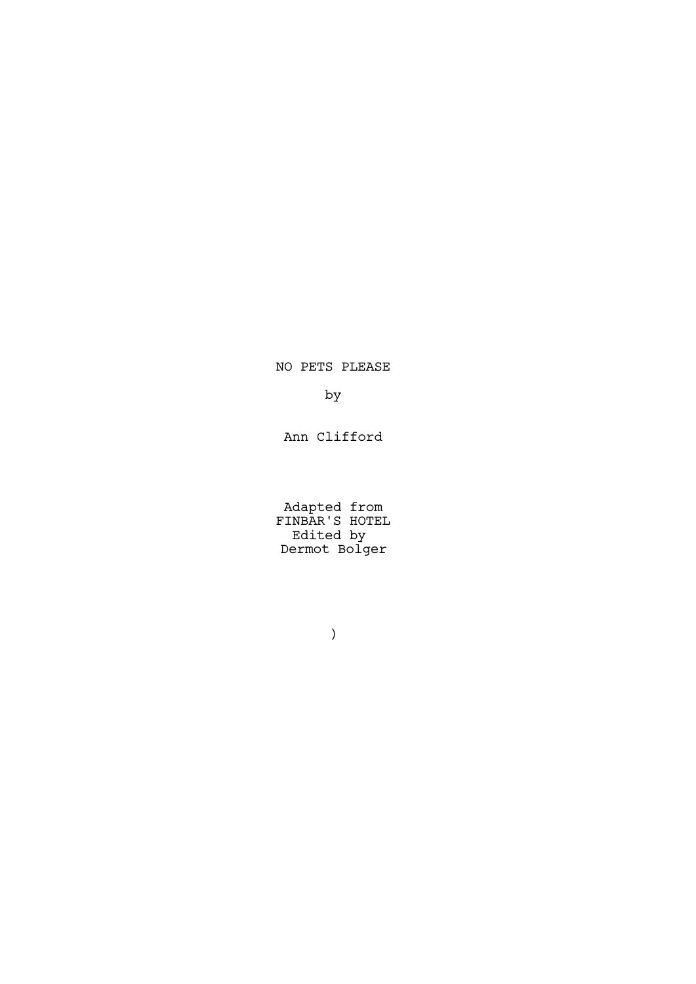NO PETS PLEASE

by

Ann Clifford

Adapted from FINBAR'S HOTEL Edited by Dermot Bolger

)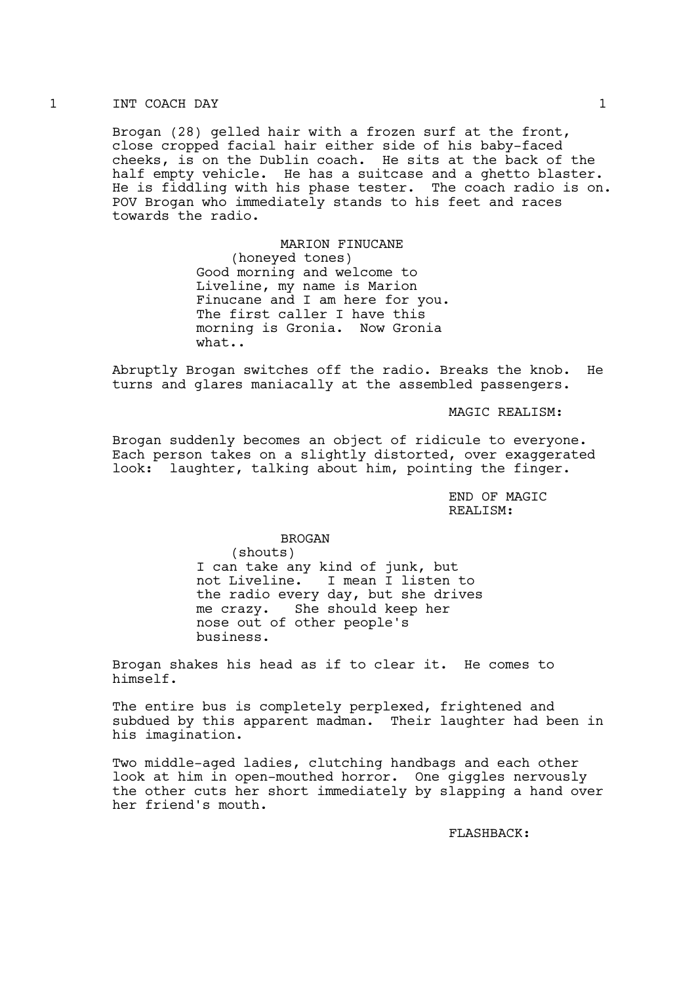#### 1 INT COACH DAY 1

Brogan (28) gelled hair with a frozen surf at the front, close cropped facial hair either side of his baby-faced cheeks, is on the Dublin coach. He sits at the back of the half empty vehicle. He has a suitcase and a ghetto blaster. He is fiddling with his phase tester. The coach radio is on. POV Brogan who immediately stands to his feet and races towards the radio.

> MARION FINUCANE (honeyed tones) Good morning and welcome to Liveline, my name is Marion Finucane and I am here for you. The first caller I have this morning is Gronia. Now Gronia what..

Abruptly Brogan switches off the radio. Breaks the knob. He turns and glares maniacally at the assembled passengers.

MAGIC REALISM:

Brogan suddenly becomes an object of ridicule to everyone. Each person takes on a slightly distorted, over exaggerated look: laughter, talking about him, pointing the finger.

> END OF MAGIC REALISM:

## BROGAN

(shouts) I can take any kind of junk, but not Liveline. I mean I listen to the radio every day, but she drives me crazy. She should keep her nose out of other people's business.

Brogan shakes his head as if to clear it. He comes to himself.

The entire bus is completely perplexed, frightened and subdued by this apparent madman. Their laughter had been in his imagination.

Two middle-aged ladies, clutching handbags and each other look at him in open-mouthed horror. One giggles nervously the other cuts her short immediately by slapping a hand over her friend's mouth.

FLASHBACK: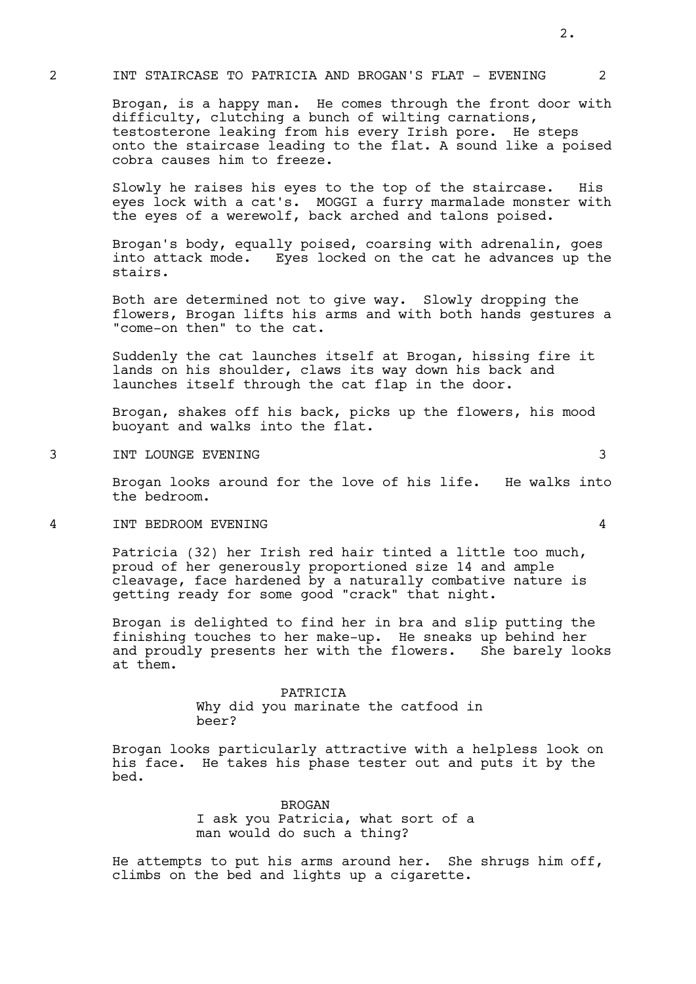#### 2 INT STAIRCASE TO PATRICIA AND BROGAN'S FLAT - EVENING 2

Brogan, is a happy man. He comes through the front door with difficulty, clutching a bunch of wilting carnations, testosterone leaking from his every Irish pore. He steps onto the staircase leading to the flat. A sound like a poised cobra causes him to freeze.

Slowly he raises his eyes to the top of the staircase. His eyes lock with a cat's. MOGGI a furry marmalade monster with the eyes of a werewolf, back arched and talons poised.

Brogan's body, equally poised, coarsing with adrenalin, goes into attack mode. Eyes locked on the cat he advances up the stairs.

Both are determined not to give way. Slowly dropping the flowers, Brogan lifts his arms and with both hands gestures a "come-on then" to the cat.

Suddenly the cat launches itself at Brogan, hissing fire it lands on his shoulder, claws its way down his back and launches itself through the cat flap in the door.

Brogan, shakes off his back, picks up the flowers, his mood buoyant and walks into the flat.

3 INT LOUNGE EVENING 3

Brogan looks around for the love of his life. He walks into the bedroom.

4 INT BEDROOM EVENING 4

Patricia (32) her Irish red hair tinted a little too much, proud of her generously proportioned size 14 and ample cleavage, face hardened by a naturally combative nature is getting ready for some good "crack" that night.

Brogan is delighted to find her in bra and slip putting the finishing touches to her make-up. He sneaks up behind her and proudly presents her with the flowers. She barely looks at them.

> PATRICIA Why did you marinate the catfood in beer?

Brogan looks particularly attractive with a helpless look on his face. He takes his phase tester out and puts it by the bed.

> BROGAN I ask you Patricia, what sort of a man would do such a thing?

He attempts to put his arms around her. She shrugs him off, climbs on the bed and lights up a cigarette.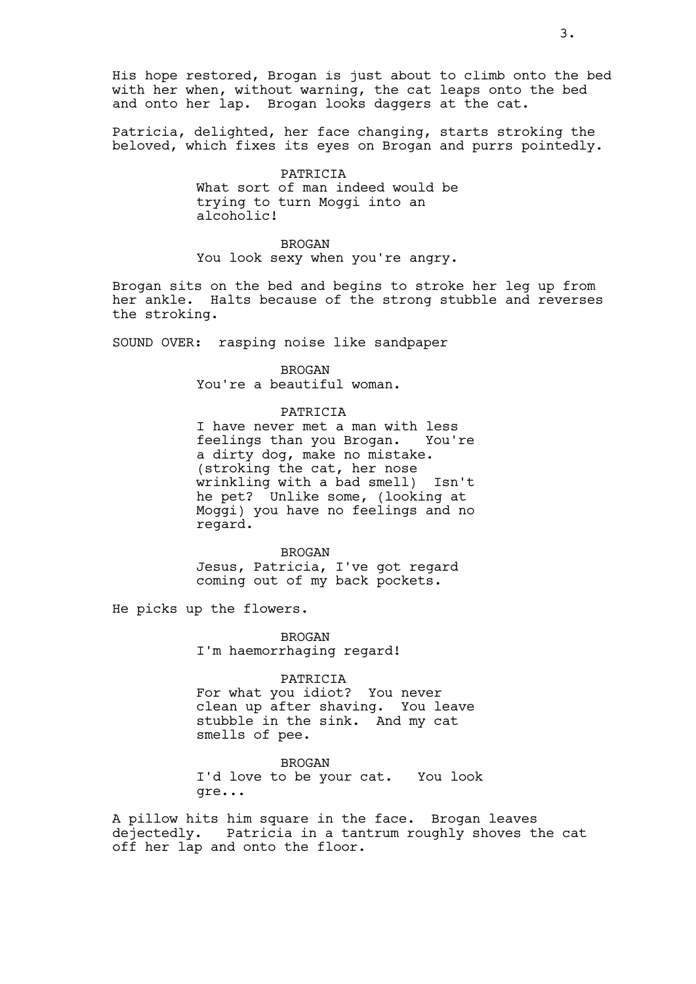His hope restored, Brogan is just about to climb onto the bed with her when, without warning, the cat leaps onto the bed and onto her lap. Brogan looks daggers at the cat.

Patricia, delighted, her face changing, starts stroking the beloved, which fixes its eyes on Brogan and purrs pointedly.

> PATRICIA What sort of man indeed would be trying to turn Moggi into an alcoholic!

> **BROGAN** You look sexy when you're angry.

Brogan sits on the bed and begins to stroke her leg up from her ankle. Halts because of the strong stubble and reverses the stroking.

SOUND OVER: rasping noise like sandpaper

BROGAN You're a beautiful woman.

#### PATRICIA

I have never met a man with less<br>feelings than you Brogan. You're feelings than you Brogan. a dirty dog, make no mistake. (stroking the cat, her nose<br>wrinkling with a bad smell) Isn't  $wrinkling with a bad smell)$ he pet? Unlike some, (looking at Moggi) you have no feelings and no regard.

BROGAN Jesus, Patricia, I've got regard coming out of my back pockets.

He picks up the flowers.

BROGAN I'm haemorrhaging regard!

PATRICIA

For what you idiot? You never clean up after shaving. You leave stubble in the sink. And my cat smells of pee.

BROGAN I'd love to be your cat. You look gre...

A pillow hits him square in the face. Brogan leaves<br>dejectedly. Patricia in a tantrum roughly shoves t Patricia in a tantrum roughly shoves the cat off her lap and onto the floor.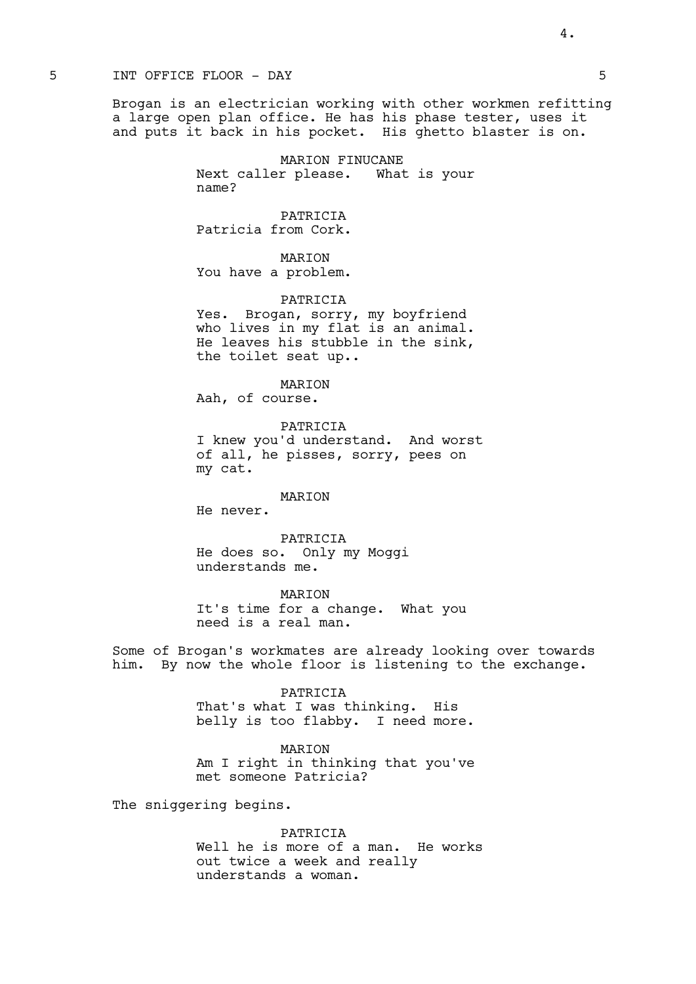## 5 INT OFFICE FLOOR - DAY 5

Brogan is an electrician working with other workmen refitting a large open plan office. He has his phase tester, uses it and puts it back in his pocket. His ghetto blaster is on.

> MARION FINUCANE Next caller please. What is your name?

PATRICIA Patricia from Cork.

MARION You have a problem.

PATRICIA

Yes. Brogan, sorry, my boyfriend who lives in my flat is an animal. He leaves his stubble in the sink, the toilet seat up..

**MARTON** Aah, of course.

PATRICIA I knew you'd understand. And worst of all, he pisses, sorry, pees on my cat.

MARION

He never.

PATRICIA He does so. Only my Moggi understands me.

MARION It's time for a change. What you need is a real man.

Some of Brogan's workmates are already looking over towards him. By now the whole floor is listening to the exchange.

#### PATRICIA

That's what I was thinking. His belly is too flabby. I need more.

MARION

Am I right in thinking that you've met someone Patricia?

The sniggering begins.

PATRICIA Well he is more of a man. He works out twice a week and really understands a woman.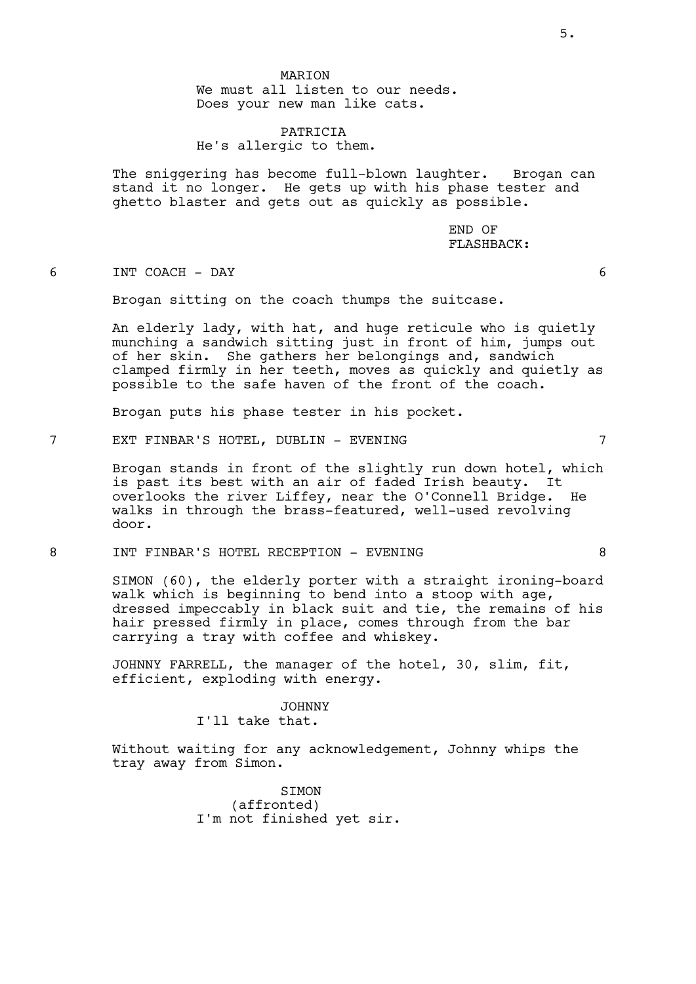MARION We must all listen to our needs. Does your new man like cats.

PATRICIA He's allergic to them.

The sniggering has become full-blown laughter. Brogan can stand it no longer. He gets up with his phase tester and ghetto blaster and gets out as quickly as possible.

> END OF FLASHBACK:

6 INT COACH - DAY 6

Brogan sitting on the coach thumps the suitcase.

An elderly lady, with hat, and huge reticule who is quietly munching a sandwich sitting just in front of him, jumps out of her skin. She gathers her belongings and, sandwich clamped firmly in her teeth, moves as quickly and quietly as possible to the safe haven of the front of the coach.

Brogan puts his phase tester in his pocket.

7 EXT FINBAR'S HOTEL, DUBLIN - EVENING 7

Brogan stands in front of the slightly run down hotel, which is past its best with an air of faded Irish beauty. It overlooks the river Liffey, near the O'Connell Bridge. He walks in through the brass-featured, well-used revolving door.

8 INT FINBAR'S HOTEL RECEPTION - EVENING 8

SIMON (60), the elderly porter with a straight ironing-board walk which is beginning to bend into a stoop with age, dressed impeccably in black suit and tie, the remains of his hair pressed firmly in place, comes through from the bar carrying a tray with coffee and whiskey.

JOHNNY FARRELL, the manager of the hotel, 30, slim, fit, efficient, exploding with energy.

#### JOHNNY

I'll take that.

Without waiting for any acknowledgement, Johnny whips the tray away from Simon.

> SIMON (affronted) I'm not finished yet sir.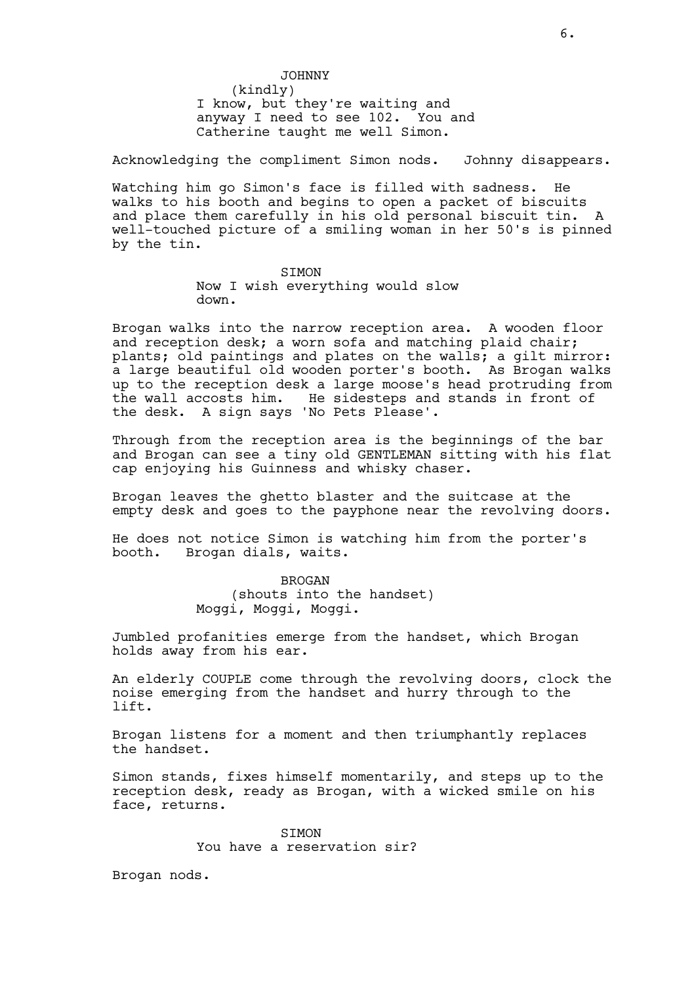JOHNNY (kindly) I know, but they're waiting and anyway I need to see 102. You and Catherine taught me well Simon.

Acknowledging the compliment Simon nods. Johnny disappears.

Watching him go Simon's face is filled with sadness. He walks to his booth and begins to open a packet of biscuits and place them carefully in his old personal biscuit tin. A well-touched picture of a smiling woman in her 50's is pinned by the tin.

> **STMON** Now I wish everything would slow down.

Brogan walks into the narrow reception area. A wooden floor and reception desk; a worn sofa and matching plaid chair; plants; old paintings and plates on the walls; a gilt mirror: a large beautiful old wooden porter's booth. As Brogan walks up to the reception desk a large moose's head protruding from the wall accosts him. He sidesteps and stands in front of the desk. A sign says 'No Pets Please'.

Through from the reception area is the beginnings of the bar and Brogan can see a tiny old GENTLEMAN sitting with his flat cap enjoying his Guinness and whisky chaser.

Brogan leaves the ghetto blaster and the suitcase at the empty desk and goes to the payphone near the revolving doors.

He does not notice Simon is watching him from the porter's booth. Brogan dials, waits.

> BROGAN (shouts into the handset) Moggi, Moggi, Moggi.

Jumbled profanities emerge from the handset, which Brogan holds away from his ear.

An elderly COUPLE come through the revolving doors, clock the noise emerging from the handset and hurry through to the lift.

Brogan listens for a moment and then triumphantly replaces the handset.

Simon stands, fixes himself momentarily, and steps up to the reception desk, ready as Brogan, with a wicked smile on his face, returns.

> SIMON You have a reservation sir?

Brogan nods.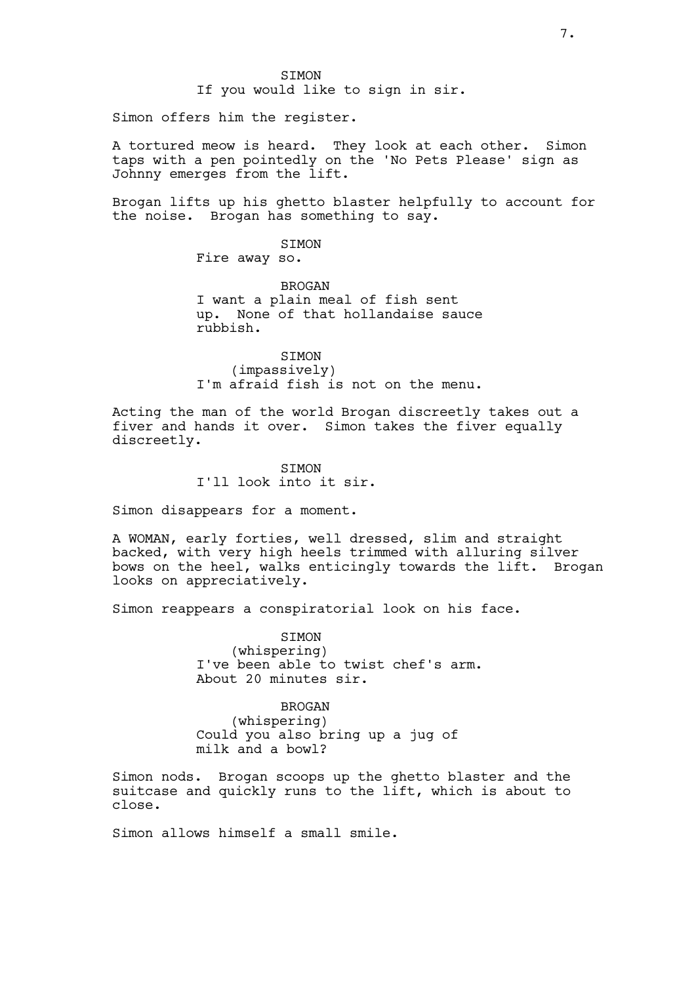Simon offers him the register.

A tortured meow is heard. They look at each other. Simon taps with a pen pointedly on the 'No Pets Please' sign as Johnny emerges from the lift.

Brogan lifts up his ghetto blaster helpfully to account for the noise. Brogan has something to say.

**STMON** 

Fire away so.

BROGAN I want a plain meal of fish sent up. None of that hollandaise sauce rubbish.

SIMON (impassively) I'm afraid fish is not on the menu.

Acting the man of the world Brogan discreetly takes out a fiver and hands it over. Simon takes the fiver equally discreetly.

> **STMON** I'll look into it sir.

Simon disappears for a moment.

A WOMAN, early forties, well dressed, slim and straight backed, with very high heels trimmed with alluring silver bows on the heel, walks enticingly towards the lift. Brogan looks on appreciatively.

Simon reappears a conspiratorial look on his face.

**STMON** (whispering) I've been able to twist chef's arm. About 20 minutes sir.

BROGAN (whispering) Could you also bring up a jug of milk and a bowl?

Simon nods. Brogan scoops up the ghetto blaster and the suitcase and quickly runs to the lift, which is about to close.

Simon allows himself a small smile.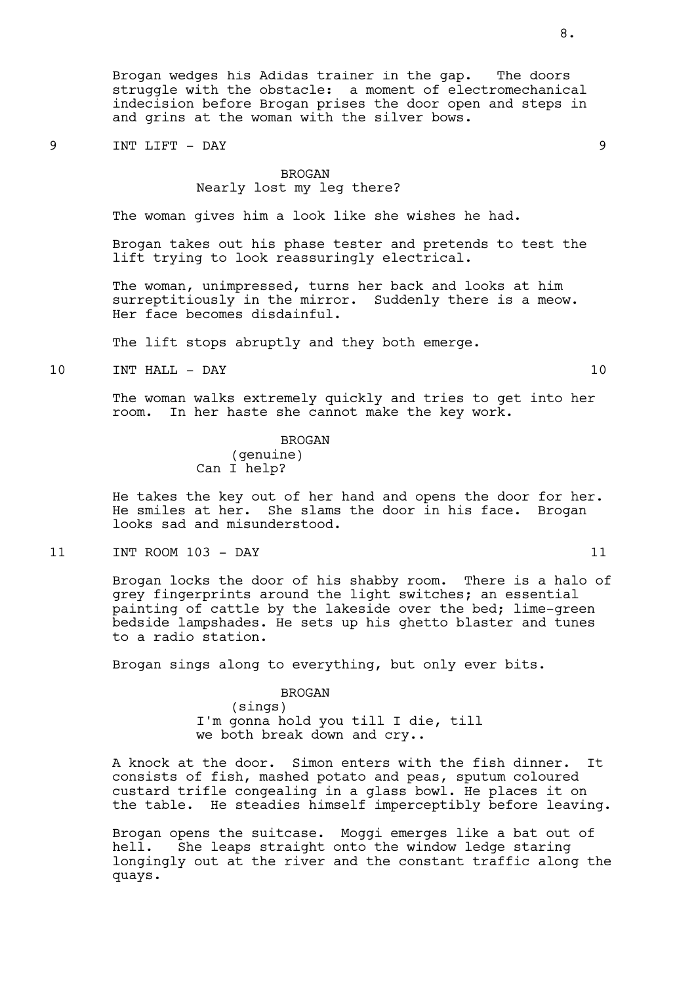Brogan wedges his Adidas trainer in the gap. The doors struggle with the obstacle: a moment of electromechanical indecision before Brogan prises the door open and steps in and grins at the woman with the silver bows.

### 9 INT LIFT - DAY 9

#### BROGAN

## Nearly lost my leg there?

The woman gives him a look like she wishes he had.

Brogan takes out his phase tester and pretends to test the lift trying to look reassuringly electrical.

The woman, unimpressed, turns her back and looks at him surreptitiously in the mirror. Suddenly there is a meow. Her face becomes disdainful.

The lift stops abruptly and they both emerge.

10 INT HALL - DAY 10

The woman walks extremely quickly and tries to get into her room. In her haste she cannot make the key work.

> BROGAN (genuine) Can I help?

He takes the key out of her hand and opens the door for her. He smiles at her. She slams the door in his face. Brogan looks sad and misunderstood.

11 INT ROOM 103 - DAY 11

Brogan locks the door of his shabby room. There is a halo of grey fingerprints around the light switches; an essential painting of cattle by the lakeside over the bed; lime-green bedside lampshades. He sets up his ghetto blaster and tunes to a radio station.

Brogan sings along to everything, but only ever bits.

BROGAN

(sings) I'm gonna hold you till I die, till we both break down and cry..

A knock at the door. Simon enters with the fish dinner. It consists of fish, mashed potato and peas, sputum coloured custard trifle congealing in a glass bowl. He places it on the table. He steadies himself imperceptibly before leaving.

Brogan opens the suitcase. Moggi emerges like a bat out of hell. She leaps straight onto the window ledge staring longingly out at the river and the constant traffic along the quays.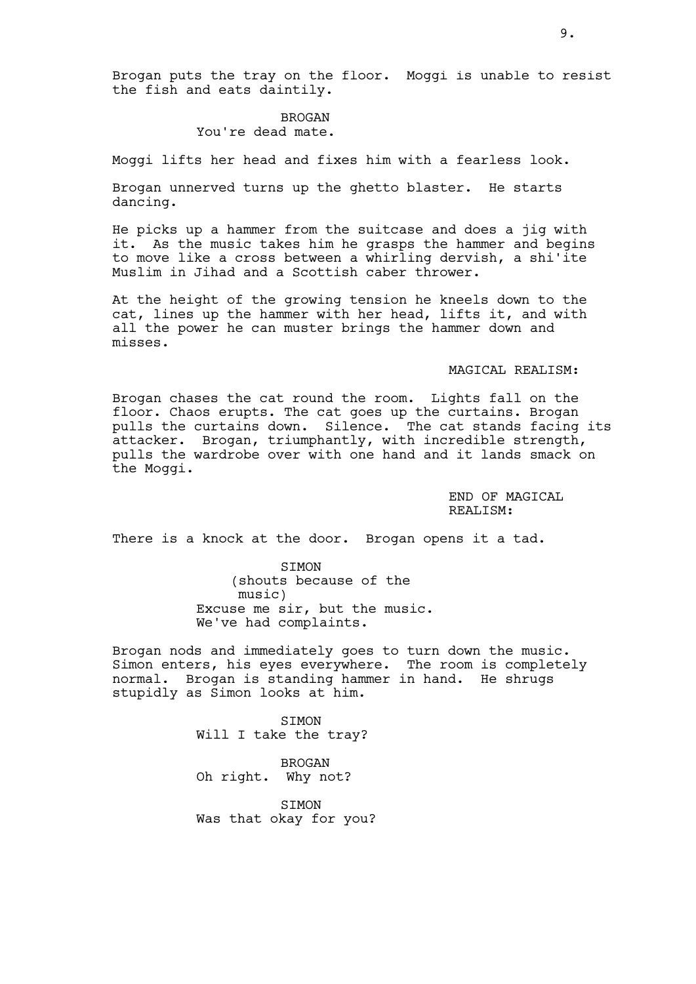Brogan puts the tray on the floor. Moggi is unable to resist the fish and eats daintily.

# BROGAN You're dead mate.

Moggi lifts her head and fixes him with a fearless look.

Brogan unnerved turns up the ghetto blaster. He starts dancing.

He picks up a hammer from the suitcase and does a jig with it. As the music takes him he grasps the hammer and begins to move like a cross between a whirling dervish, a shi'ite Muslim in Jihad and a Scottish caber thrower.

At the height of the growing tension he kneels down to the cat, lines up the hammer with her head, lifts it, and with all the power he can muster brings the hammer down and misses.

### MAGICAL REALISM:

Brogan chases the cat round the room. Lights fall on the floor. Chaos erupts. The cat goes up the curtains. Brogan pulls the curtains down. Silence. The cat stands facing its attacker. Brogan, triumphantly, with incredible strength, pulls the wardrobe over with one hand and it lands smack on the Moggi.

> END OF MAGTCAL REALISM:

There is a knock at the door. Brogan opens it a tad.

SIMON (shouts because of the music) Excuse me sir, but the music. We've had complaints.

Brogan nods and immediately goes to turn down the music. Simon enters, his eyes everywhere. The room is completely normal. Brogan is standing hammer in hand. He shrugs stupidly as Simon looks at him.

> SIMON Will I take the tray?

BROGAN Oh right. Why not?

SIMON Was that okay for you?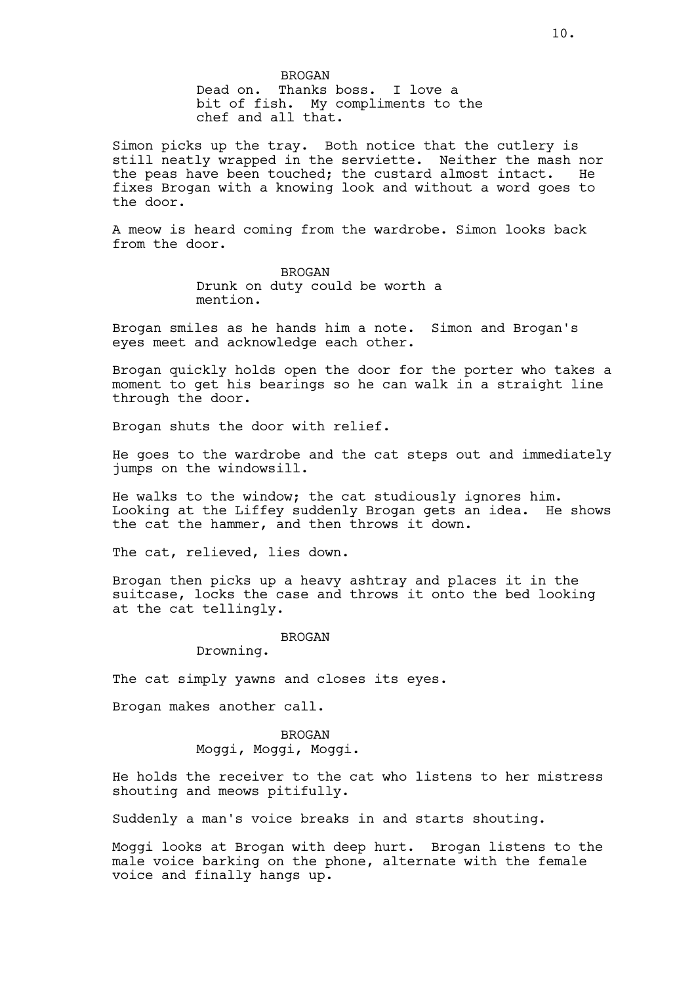BROGAN Dead on. Thanks boss. I love a bit of fish. My compliments to the chef and all that.

Simon picks up the tray. Both notice that the cutlery is still neatly wrapped in the serviette. Neither the mash nor<br>the peas have been touched: the custard almost intact. He the peas have been touched; the custard almost intact. fixes Brogan with a knowing look and without a word goes to the door.

A meow is heard coming from the wardrobe. Simon looks back from the door.

> BROGAN Drunk on duty could be worth a mention.

Brogan smiles as he hands him a note. Simon and Brogan's eyes meet and acknowledge each other.

Brogan quickly holds open the door for the porter who takes a moment to get his bearings so he can walk in a straight line through the door.

Brogan shuts the door with relief.

He goes to the wardrobe and the cat steps out and immediately jumps on the windowsill.

He walks to the window; the cat studiously ignores him. Looking at the Liffey suddenly Brogan gets an idea. He shows the cat the hammer, and then throws it down.

The cat, relieved, lies down.

Brogan then picks up a heavy ashtray and places it in the suitcase, locks the case and throws it onto the bed looking at the cat tellingly.

### BROGAN

Drowning.

The cat simply yawns and closes its eyes.

Brogan makes another call.

## BROGAN Moggi, Moggi, Moggi.

He holds the receiver to the cat who listens to her mistress shouting and meows pitifully.

Suddenly a man's voice breaks in and starts shouting.

Moggi looks at Brogan with deep hurt. Brogan listens to the male voice barking on the phone, alternate with the female voice and finally hangs up.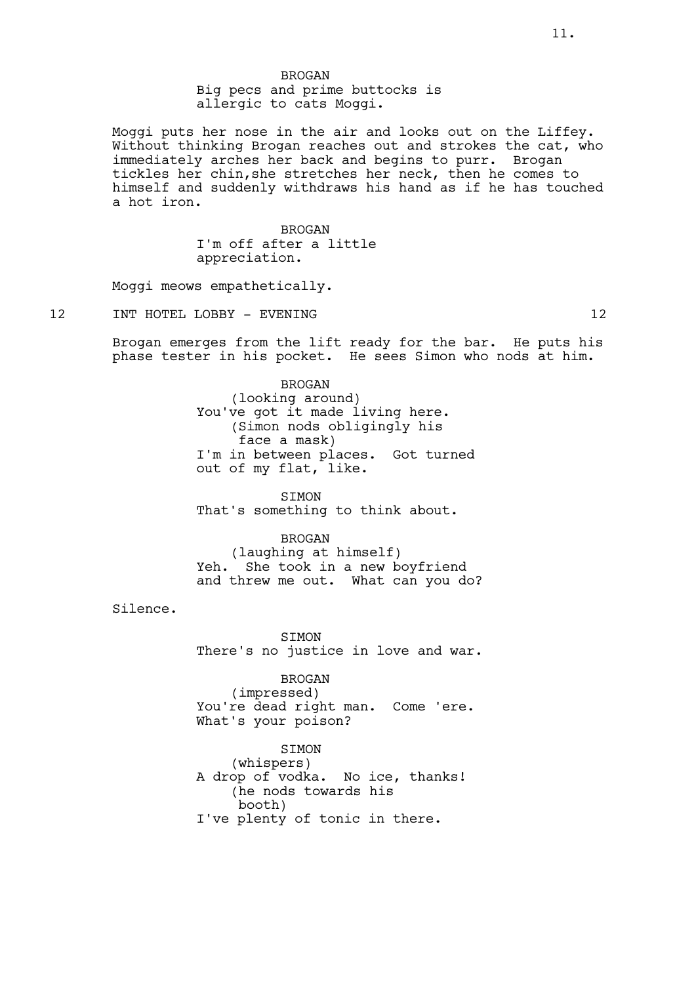Moggi puts her nose in the air and looks out on the Liffey. Without thinking Brogan reaches out and strokes the cat, who immediately arches her back and begins to purr. Brogan tickles her chin,she stretches her neck, then he comes to himself and suddenly withdraws his hand as if he has touched a hot iron.

> BROGAN I'm off after a little appreciation.

Moggi meows empathetically.

## 12 INT HOTEL LOBBY - EVENING 12

Brogan emerges from the lift ready for the bar. He puts his phase tester in his pocket. He sees Simon who nods at him.

> BROGAN (looking around) You've got it made living here. (Simon nods obligingly his face a mask) I'm in between places. Got turned out of my flat, like.

**STMON** That's something to think about.

#### BROGAN

(laughing at himself) Yeh. She took in a new boyfriend and threw me out. What can you do?

Silence.

**STMON** There's no justice in love and war.

## BROGAN

(impressed) You're dead right man. Come 'ere. What's your poison?

SIMON (whispers) A drop of vodka. No ice, thanks! (he nods towards his booth) I've plenty of tonic in there.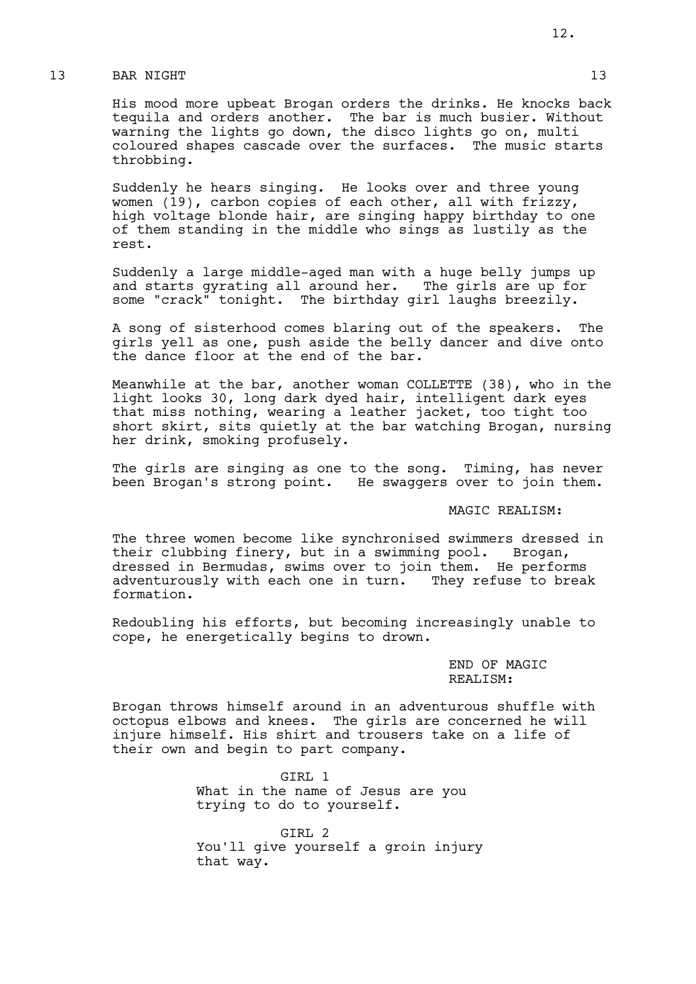## 13 BAR NIGHT 13 13

His mood more upbeat Brogan orders the drinks. He knocks back tequila and orders another. The bar is much busier. Without warning the lights go down, the disco lights go on, multi coloured shapes cascade over the surfaces. The music starts throbbing.

Suddenly he hears singing. He looks over and three young women (19), carbon copies of each other, all with frizzy, high voltage blonde hair, are singing happy birthday to one of them standing in the middle who sings as lustily as the rest.

Suddenly a large middle-aged man with a huge belly jumps up and starts gyrating all around her. The girls are up for some "crack" tonight. The birthday girl laughs breezily.

A song of sisterhood comes blaring out of the speakers. The girls yell as one, push aside the belly dancer and dive onto the dance floor at the end of the bar.

Meanwhile at the bar, another woman COLLETTE (38), who in the light looks 30, long dark dyed hair, intelligent dark eyes that miss nothing, wearing a leather jacket, too tight too short skirt, sits quietly at the bar watching Brogan, nursing her drink, smoking profusely.

The girls are singing as one to the song. Timing, has never been Brogan's strong point. He swaggers over to join them.

## MAGIC REALISM:

The three women become like synchronised swimmers dressed in their clubbing finery, but in a swimming pool. Brogan, dressed in Bermudas, swims over to join them. He performs adventurously with each one in turn. They refuse to break formation.

Redoubling his efforts, but becoming increasingly unable to cope, he energetically begins to drown.

> END OF MAGIC REALISM:

Brogan throws himself around in an adventurous shuffle with octopus elbows and knees. The girls are concerned he will injure himself. His shirt and trousers take on a life of their own and begin to part company.

> GIRL 1 What in the name of Jesus are you trying to do to yourself.

GIRL 2 You'll give yourself a groin injury that way.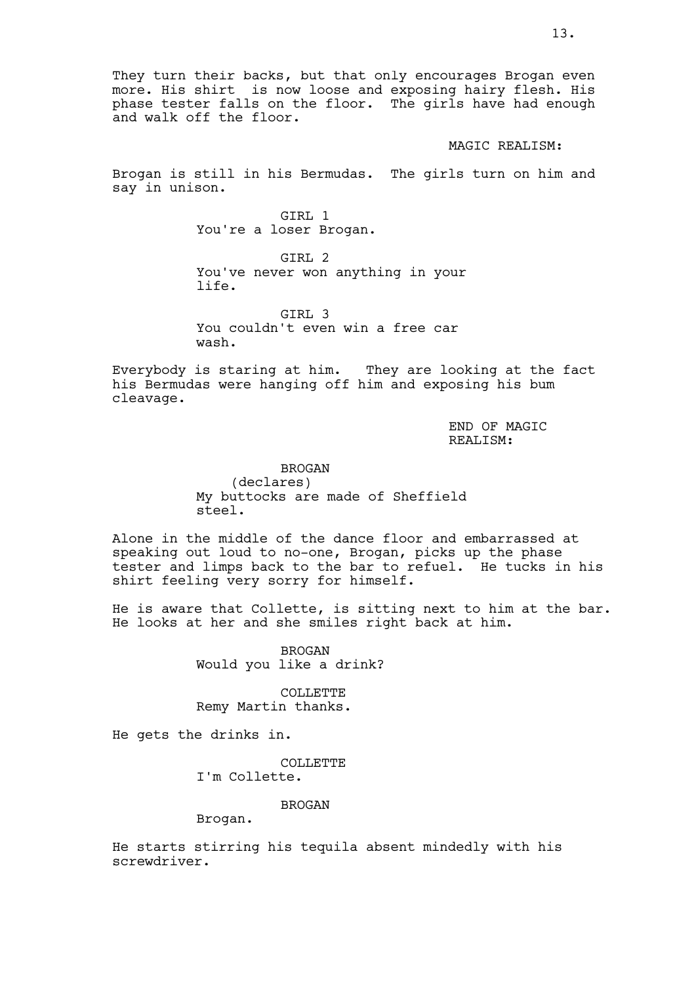They turn their backs, but that only encourages Brogan even more. His shirt is now loose and exposing hairy flesh. His phase tester falls on the floor. The girls have had enough and walk off the floor.

#### MAGIC REALISM:

Brogan is still in his Bermudas. The girls turn on him and say in unison.

> GTRL 1 You're a loser Brogan.

GIRL 2 You've never won anything in your life.

GIRL 3 You couldn't even win a free car wash.

Everybody is staring at him. They are looking at the fact his Bermudas were hanging off him and exposing his bum cleavage.

> END OF MAGIC REALISM:

BROGAN (declares) My buttocks are made of Sheffield steel.

Alone in the middle of the dance floor and embarrassed at speaking out loud to no-one, Brogan, picks up the phase tester and limps back to the bar to refuel. He tucks in his shirt feeling very sorry for himself.

He is aware that Collette, is sitting next to him at the bar. He looks at her and she smiles right back at him.

> BROGAN Would you like a drink?

COLLETTE Remy Martin thanks.

He gets the drinks in.

COLLETTE

I'm Collette.

### BROGAN

Brogan.

He starts stirring his tequila absent mindedly with his screwdriver.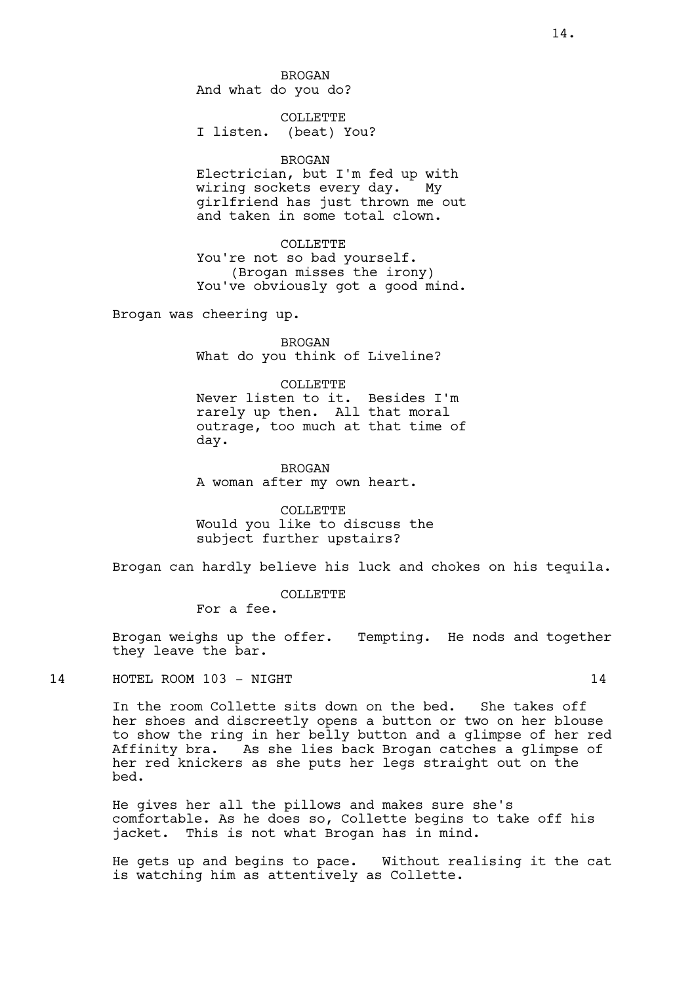BROGAN And what do you do?

COLLETTE I listen. (beat) You?

### BROGAN

Electrician, but I'm fed up with wiring sockets every day. My girlfriend has just thrown me out and taken in some total clown.

COLLETTE You're not so bad yourself. (Brogan misses the irony) You've obviously got a good mind.

Brogan was cheering up.

**BROGAN** What do you think of Liveline?

#### COLLETTE

Never listen to it. Besides I'm rarely up then. All that moral outrage, too much at that time of day.

BROGAN A woman after my own heart.

COLLETTE Would you like to discuss the subject further upstairs?

Brogan can hardly believe his luck and chokes on his tequila.

COLLETTE

For a fee.

Brogan weighs up the offer. Tempting. He nods and together they leave the bar.

14 HOTEL ROOM 103 – NIGHT 14 HOTEL 14

In the room Collette sits down on the bed. She takes off her shoes and discreetly opens a button or two on her blouse to show the ring in her belly button and a glimpse of her red Affinity bra. As she lies back Brogan catches a glimpse of her red knickers as she puts her legs straight out on the bed.

He gives her all the pillows and makes sure she's comfortable. As he does so, Collette begins to take off his jacket. This is not what Brogan has in mind.

He gets up and begins to pace. Without realising it the cat is watching him as attentively as Collette.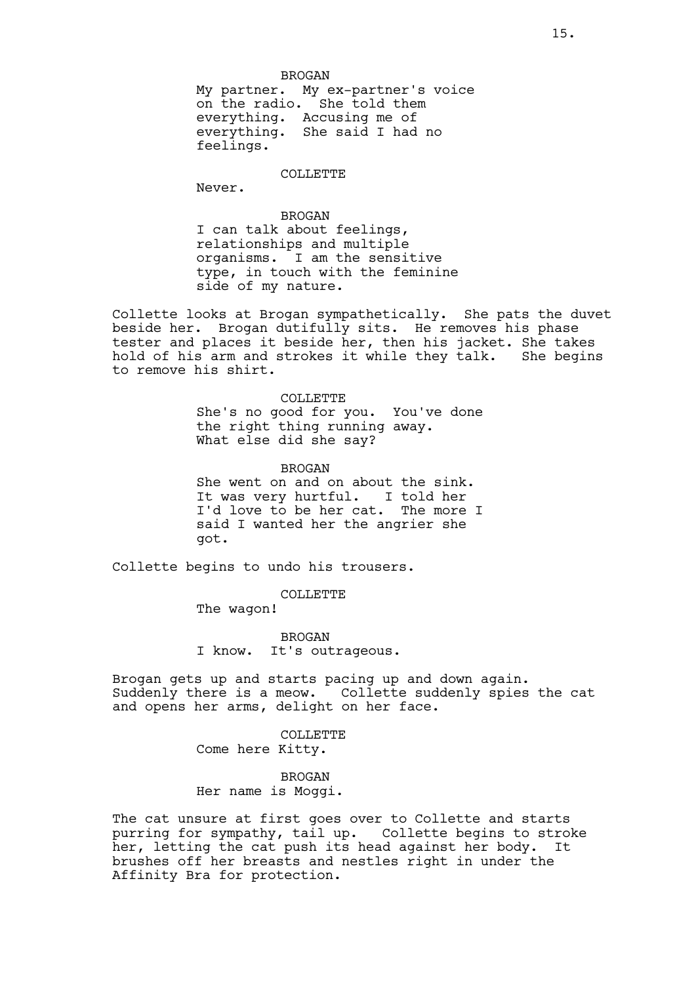#### COLLETTE

Never.

BROGAN I can talk about feelings, relationships and multiple organisms. I am the sensitive type, in touch with the feminine side of my nature.

Collette looks at Brogan sympathetically. She pats the duvet beside her. Brogan dutifully sits. He removes his phase tester and places it beside her, then his jacket. She takes hold of his arm and strokes it while they talk. She begins to remove his shirt.

> COLLETTE She's no good for you. You've done the right thing running away. What else did she say?

> BROGAN She went on and on about the sink. It was very hurtful. I told her I'd love to be her cat. The more I said I wanted her the angrier she got.

Collette begins to undo his trousers.

COLLETTE

The wagon!

BROGAN I know. It's outrageous.

Brogan gets up and starts pacing up and down again. Suddenly there is a meow. Collette suddenly spies the cat and opens her arms, delight on her face.

> COLLETTE Come here Kitty.

BROGAN Her name is Moggi.

The cat unsure at first goes over to Collette and starts purring for sympathy, tail up. Collette begins to stroke her, letting the cat push its head against her body. It brushes off her breasts and nestles right in under the Affinity Bra for protection.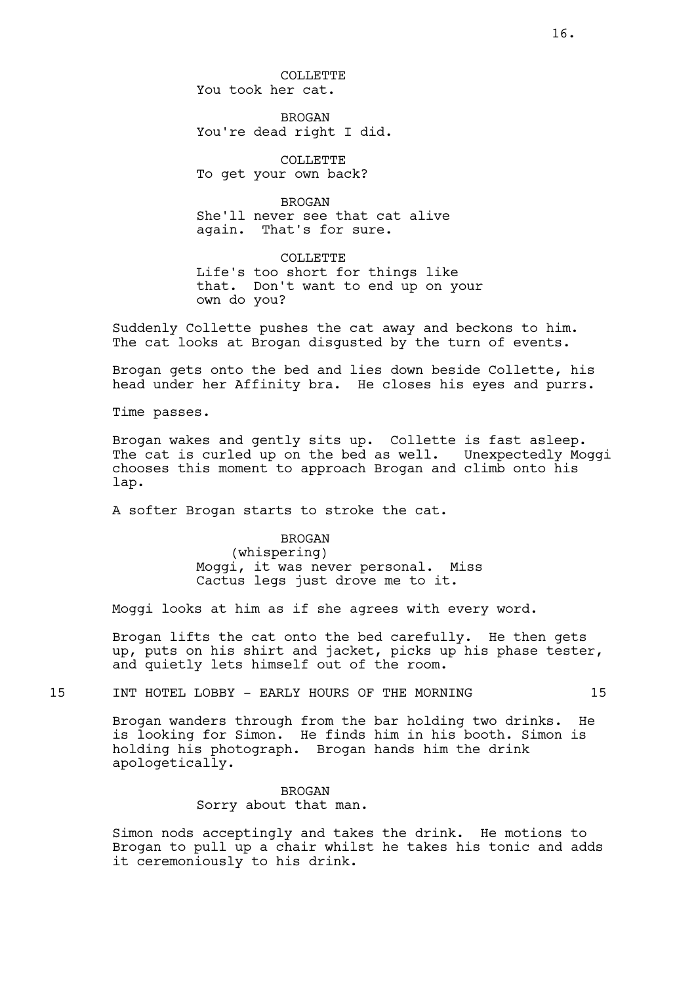COLLETTE You took her cat.

BROGAN You're dead right I did.

COLLETTE To get your own back?

BROGAN She'll never see that cat alive<br>again. That's for sure. That's for sure.

COLLETTE Life's too short for things like that. Don't want to end up on your own do you?

Suddenly Collette pushes the cat away and beckons to him. The cat looks at Brogan disqusted by the turn of events.

Brogan gets onto the bed and lies down beside Collette, his head under her Affinity bra. He closes his eyes and purrs.

Time passes.

Brogan wakes and gently sits up. Collette is fast asleep. The cat is curled up on the bed as well. Unexpectedly Moggi chooses this moment to approach Brogan and climb onto his lap.

A softer Brogan starts to stroke the cat.

# BROGAN

(whispering) Moggi, it was never personal. Miss Cactus legs just drove me to it.

Moggi looks at him as if she agrees with every word.

Brogan lifts the cat onto the bed carefully. He then gets up, puts on his shirt and jacket, picks up his phase tester, and quietly lets himself out of the room.

15 INT HOTEL LOBBY - EARLY HOURS OF THE MORNING 15

Brogan wanders through from the bar holding two drinks. He is looking for Simon. He finds him in his booth. Simon is holding his photograph. Brogan hands him the drink apologetically.

## BROGAN Sorry about that man.

Simon nods acceptingly and takes the drink. He motions to Brogan to pull up a chair whilst he takes his tonic and adds it ceremoniously to his drink.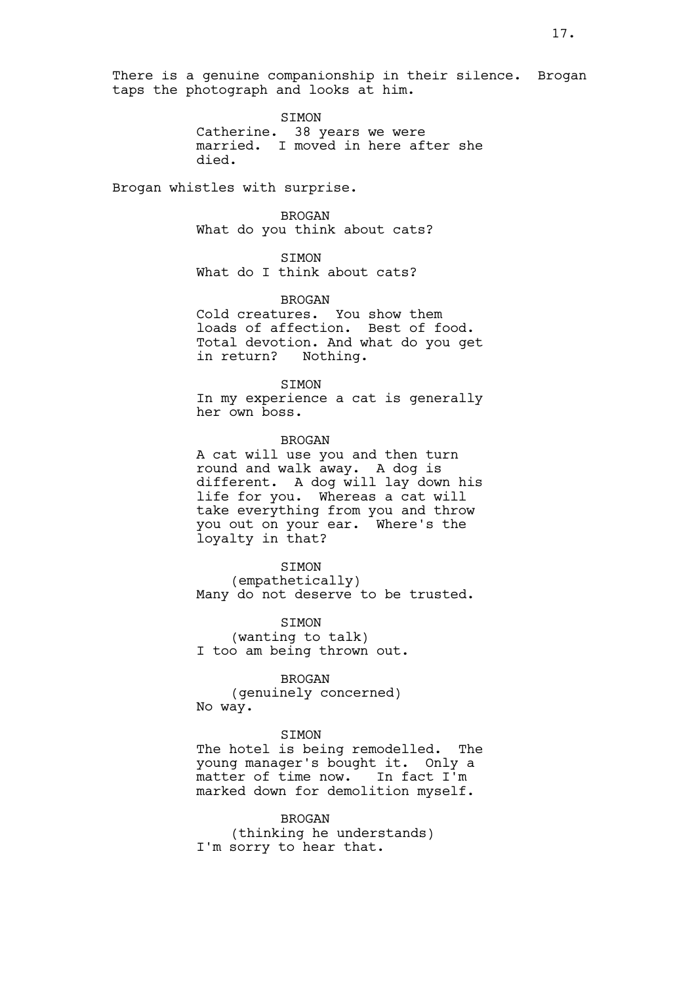There is a genuine companionship in their silence. Brogan taps the photograph and looks at him.

> SIMON Catherine. 38 years we were married. I moved in here after she died.

Brogan whistles with surprise.

BROGAN

What do you think about cats?

SIMON What do I think about cats?

BROGAN

Cold creatures. You show them loads of affection. Best of food. Total devotion. And what do you get in return? Nothing.

**STMON** 

In my experience a cat is generally her own boss.

BROGAN

A cat will use you and then turn round and walk away. A dog is different. A dog will lay down his life for you. Whereas a cat will take everything from you and throw you out on your ear. Where's the loyalty in that?

SIMON (empathetically) Many do not deserve to be trusted.

**STMON** (wanting to talk) I too am being thrown out.

BROGAN (genuinely concerned) No way.

SIMON

The hotel is being remodelled. The young manager's bought it. Only a matter of time now. In fact I'm marked down for demolition myself.

BROGAN (thinking he understands) I'm sorry to hear that.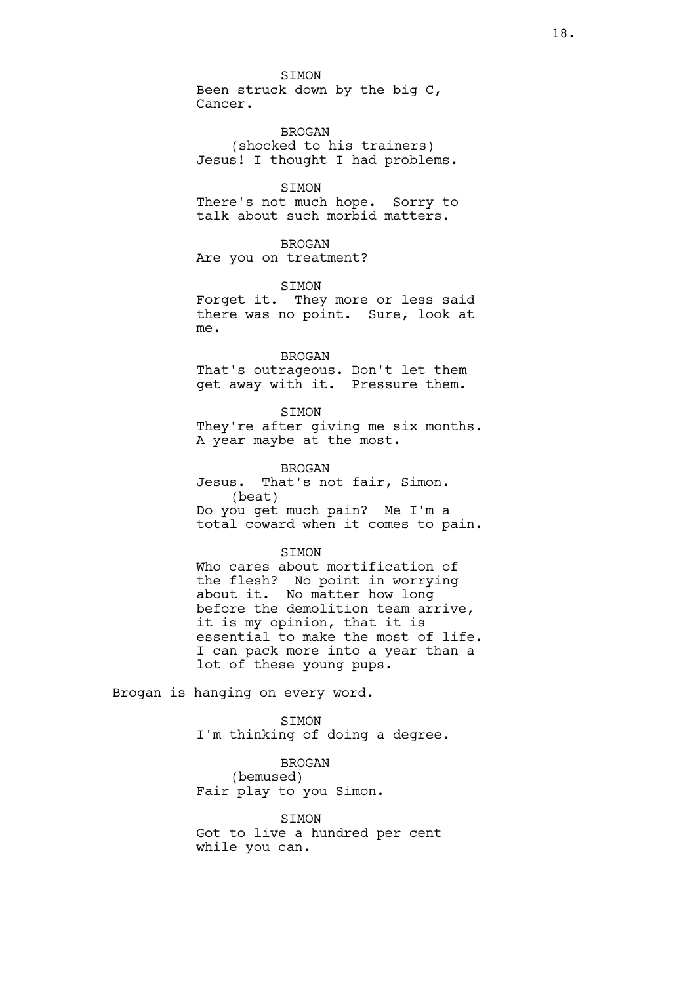SIMON Been struck down by the big C, Cancer.

BROGAN (shocked to his trainers) Jesus! I thought I had problems.

#### **STMON**

There's not much hope. Sorry to talk about such morbid matters.

### BROGAN

Are you on treatment?

#### SIMON

Forget it. They more or less said there was no point. Sure, look at me.

#### BROGAN

That's outrageous. Don't let them get away with it. Pressure them.

SIMON They're after giving me six months. A year maybe at the most.

BROGAN Jesus. That's not fair, Simon. (beat) Do you get much pain? Me I'm a total coward when it comes to pain.

#### **STMON**

Who cares about mortification of the flesh? No point in worrying about it. No matter how long before the demolition team arrive, it is my opinion, that it is essential to make the most of life. I can pack more into a year than a lot of these young pups.

Brogan is hanging on every word.

SIMON I'm thinking of doing a degree.

# BROGAN

(bemused) Fair play to you Simon.

SIMON Got to live a hundred per cent while you can.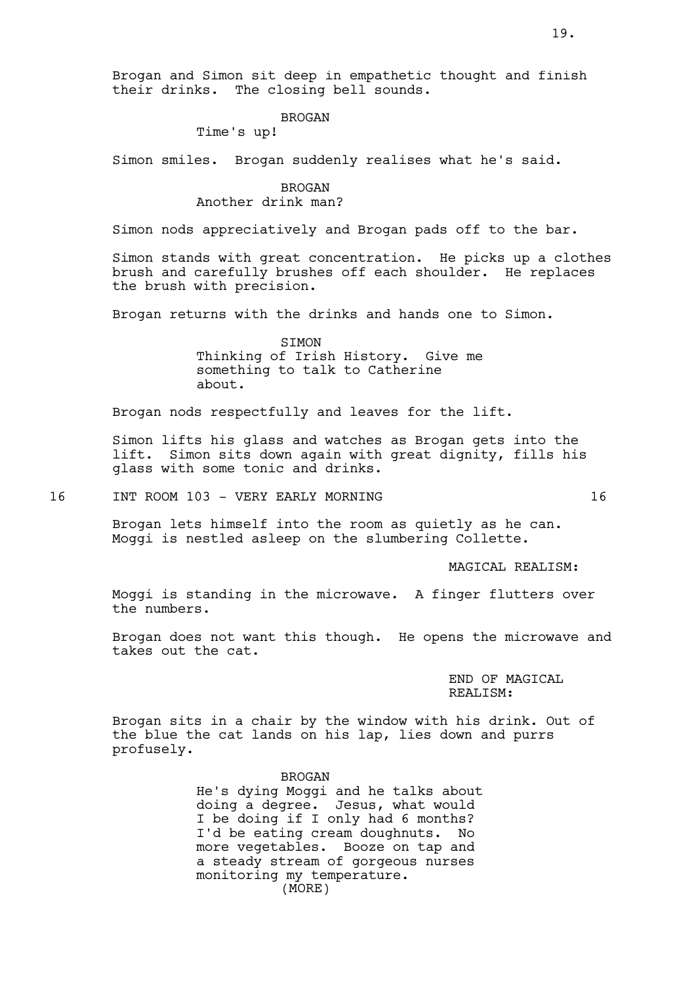Brogan and Simon sit deep in empathetic thought and finish their drinks. The closing bell sounds.

#### BROGAN

Time's up!

Simon smiles. Brogan suddenly realises what he's said.

BROGAN Another drink man?

Simon nods appreciatively and Brogan pads off to the bar.

Simon stands with great concentration. He picks up a clothes brush and carefully brushes off each shoulder. He replaces the brush with precision.

Brogan returns with the drinks and hands one to Simon.

**STMON** Thinking of Irish History. Give me something to talk to Catherine about.

Brogan nods respectfully and leaves for the lift.

Simon lifts his glass and watches as Brogan gets into the lift. Simon sits down again with great dignity, fills his glass with some tonic and drinks.

16 INT ROOM 103 - VERY EARLY MORNING 16

Brogan lets himself into the room as quietly as he can. Moggi is nestled asleep on the slumbering Collette.

MAGICAL REALISM:

Moggi is standing in the microwave. A finger flutters over the numbers.

Brogan does not want this though. He opens the microwave and takes out the cat.

> END OF MAGICAL REALISM:

Brogan sits in a chair by the window with his drink. Out of the blue the cat lands on his lap, lies down and purrs profusely.

> BROGAN He's dying Moggi and he talks about doing a degree. Jesus, what would I be doing if I only had 6 months? I'd be eating cream doughnuts. No more vegetables. Booze on tap and a steady stream of gorgeous nurses monitoring my temperature. (MORE)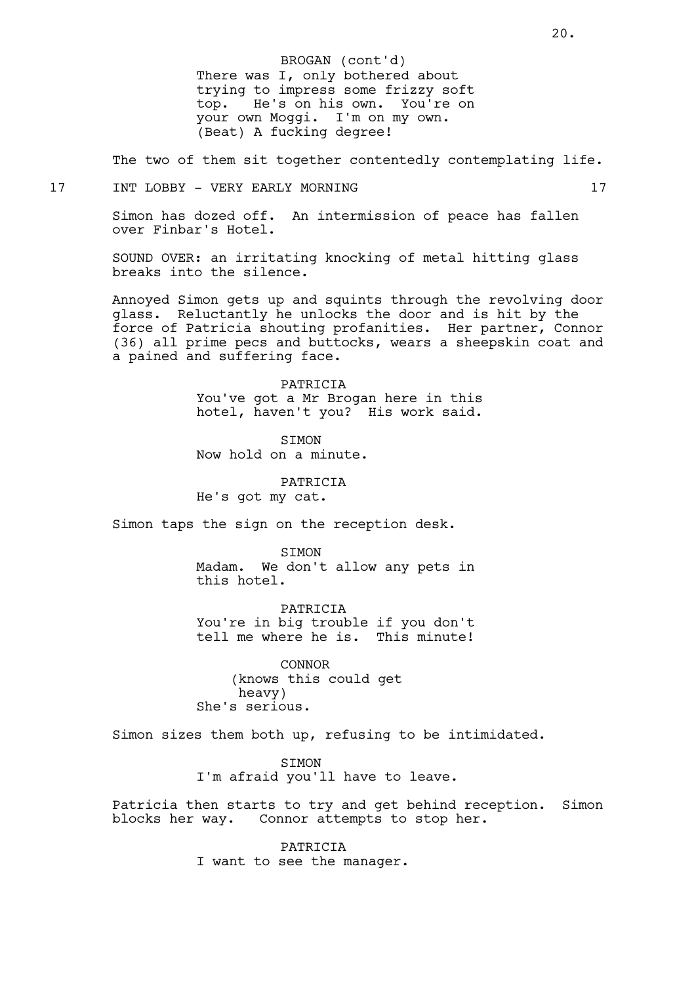There was I, only bothered about trying to impress some frizzy soft top. He's on his own. You're on your own Moggi. I'm on my own. (Beat) A fucking degree! BROGAN (cont'd)

The two of them sit together contentedly contemplating life.

## 17 INT LOBBY - VERY EARLY MORNING 17

Simon has dozed off. An intermission of peace has fallen over Finbar's Hotel.

SOUND OVER: an irritating knocking of metal hitting glass breaks into the silence.

Annoyed Simon gets up and squints through the revolving door glass. Reluctantly he unlocks the door and is hit by the force of Patricia shouting profanities. Her partner, Connor (36) all prime pecs and buttocks, wears a sheepskin coat and a pained and suffering face.

> PATRICIA You've got a Mr Brogan here in this hotel, haven't you? His work said.

**STMON** Now hold on a minute.

PATRICIA He's got my cat.

Simon taps the sign on the reception desk.

**STMON** Madam. We don't allow any pets in this hotel.

PATRICIA You're in big trouble if you don't tell me where he is. This minute!

CONNOR (knows this could get heavy) She's serious.

Simon sizes them both up, refusing to be intimidated.

SIMON I'm afraid you'll have to leave.

Patricia then starts to try and get behind reception. Simon blocks her way. Connor attempts to stop her.

> PATRICIA I want to see the manager.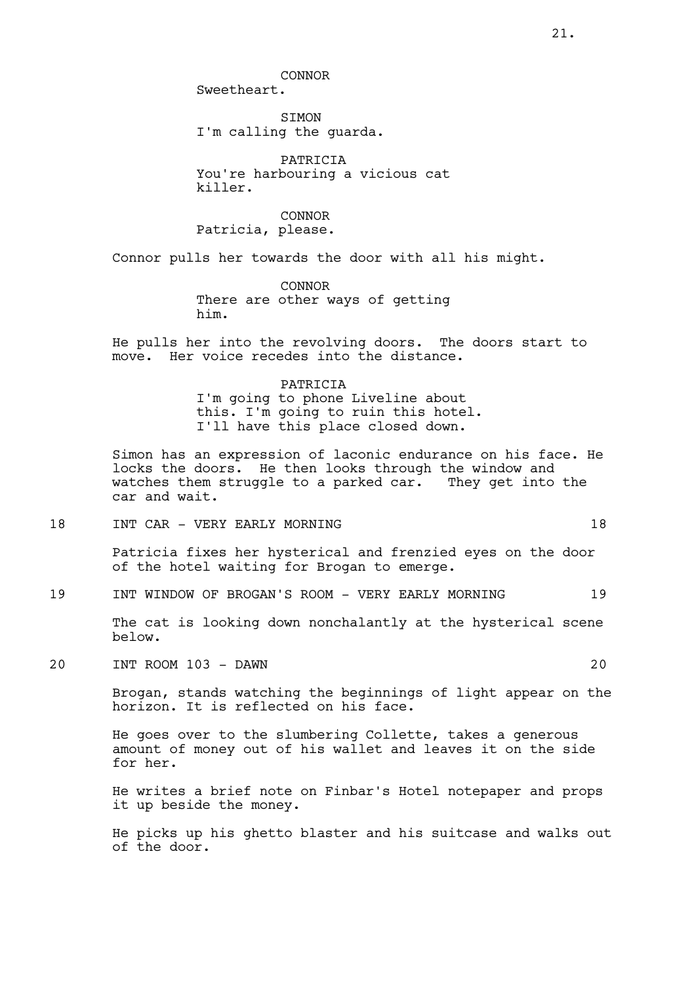CONNOR

Sweetheart.

SIMON I'm calling the guarda.

PATRICIA You're harbouring a vicious cat killer.

CONNOR Patricia, please.

Connor pulls her towards the door with all his might.

CONNOR There are other ways of getting him.

He pulls her into the revolving doors. The doors start to move. Her voice recedes into the distance.

#### PATRICIA

I'm going to phone Liveline about this. I'm going to ruin this hotel. I'll have this place closed down.

Simon has an expression of laconic endurance on his face. He locks the doors. He then looks through the window and watches them struggle to a parked car. They get into the car and wait.

18 INT CAR - VERY EARLY MORNING 18

Patricia fixes her hysterical and frenzied eyes on the door of the hotel waiting for Brogan to emerge.

19 INT WINDOW OF BROGAN'S ROOM - VERY EARLY MORNING 19

The cat is looking down nonchalantly at the hysterical scene below.

20 INT ROOM 103 - DAWN 20

Brogan, stands watching the beginnings of light appear on the horizon. It is reflected on his face.

He goes over to the slumbering Collette, takes a generous amount of money out of his wallet and leaves it on the side for her.

He writes a brief note on Finbar's Hotel notepaper and props it up beside the money.

He picks up his ghetto blaster and his suitcase and walks out of the door.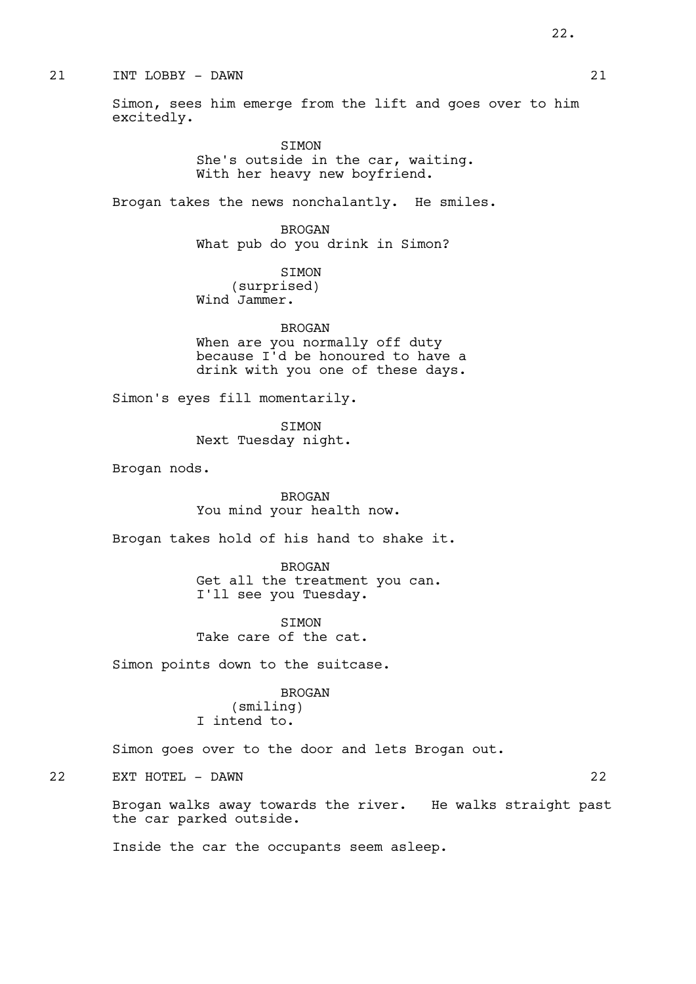### 21 INT LOBBY - DAWN 21

Simon, sees him emerge from the lift and goes over to him excitedly.

> SIMON She's outside in the car, waiting. With her heavy new boyfriend.

Brogan takes the news nonchalantly. He smiles.

BROGAN What pub do you drink in Simon?

SIMON (surprised) Wind Jammer.

BROGAN When are you normally off duty because I'd be honoured to have a drink with you one of these days.

Simon's eyes fill momentarily.

SIMON Next Tuesday night.

Brogan nods.

BROGAN You mind your health now.

Brogan takes hold of his hand to shake it.

BROGAN Get all the treatment you can. I'll see you Tuesday.

SIMON Take care of the cat.

Simon points down to the suitcase.

#### BROGAN

(smiling) I intend to.

Simon goes over to the door and lets Brogan out.

22 EXT HOTEL - DAWN 22

Brogan walks away towards the river. He walks straight past the car parked outside.

Inside the car the occupants seem asleep.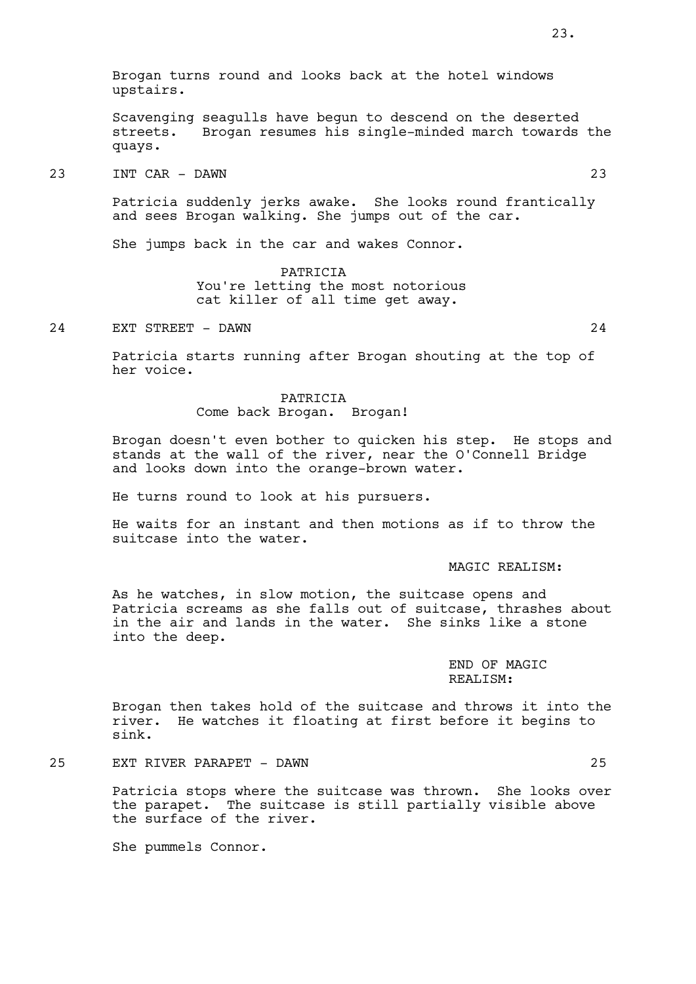Brogan turns round and looks back at the hotel windows upstairs.

Scavenging seagulls have begun to descend on the deserted streets. Brogan resumes his single-minded march towards the quays.

### 23 INT CAR - DAWN 23

Patricia suddenly jerks awake. She looks round frantically and sees Brogan walking. She jumps out of the car.

She jumps back in the car and wakes Connor.

PATRICIA You're letting the most notorious cat killer of all time get away.

24 EXT STREET - DAWN 24

Patricia starts running after Brogan shouting at the top of her voice.

> PATRICIA Come back Brogan. Brogan!

Brogan doesn't even bother to quicken his step. He stops and stands at the wall of the river, near the O'Connell Bridge and looks down into the orange-brown water.

He turns round to look at his pursuers.

He waits for an instant and then motions as if to throw the suitcase into the water.

#### MAGIC REALISM:

As he watches, in slow motion, the suitcase opens and Patricia screams as she falls out of suitcase, thrashes about in the air and lands in the water. She sinks like a stone into the deep.

> END OF MAGIC REALISM:

Brogan then takes hold of the suitcase and throws it into the river. He watches it floating at first before it begins to sink.

25 EXT RIVER PARAPET - DAWN 25

Patricia stops where the suitcase was thrown. She looks over the parapet. The suitcase is still partially visible above the surface of the river.

She pummels Connor.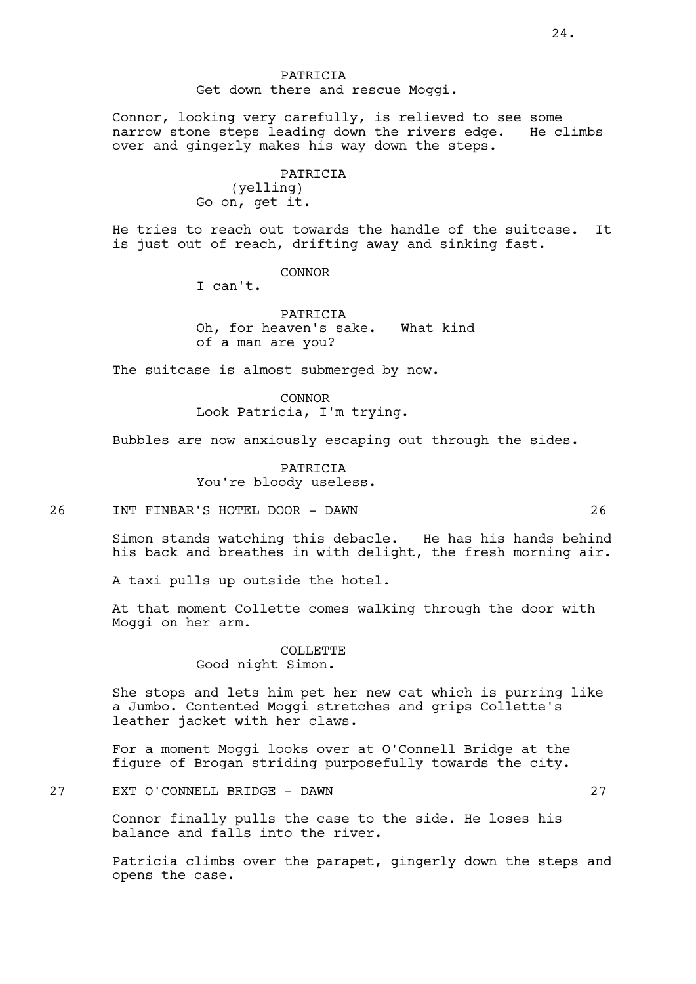24.

PATRICIA Get down there and rescue Moggi.

Connor, looking very carefully, is relieved to see some<br>narrow stone steps leading down the rivers edge. He climbs narrow stone steps leading down the rivers edge. over and gingerly makes his way down the steps.

> PATRICIA (yelling) Go on, get it.

He tries to reach out towards the handle of the suitcase. It is just out of reach, drifting away and sinking fast.

CONNOR

I can't.

PATRICIA Oh, for heaven's sake. What kind of a man are you?

The suitcase is almost submerged by now.

CONNOR Look Patricia, I'm trying.

Bubbles are now anxiously escaping out through the sides.

PATRICIA You're bloody useless.

26 INT FINBAR'S HOTEL DOOR - DAWN 26

Simon stands watching this debacle. He has his hands behind his back and breathes in with delight, the fresh morning air.

A taxi pulls up outside the hotel.

At that moment Collette comes walking through the door with Moggi on her arm.

### COLLETTE Good night Simon.

She stops and lets him pet her new cat which is purring like a Jumbo. Contented Moggi stretches and grips Collette's leather jacket with her claws.

For a moment Moggi looks over at O'Connell Bridge at the figure of Brogan striding purposefully towards the city.

27 EXT O'CONNELL BRIDGE - DAWN 27

Connor finally pulls the case to the side. He loses his balance and falls into the river.

Patricia climbs over the parapet, gingerly down the steps and opens the case.